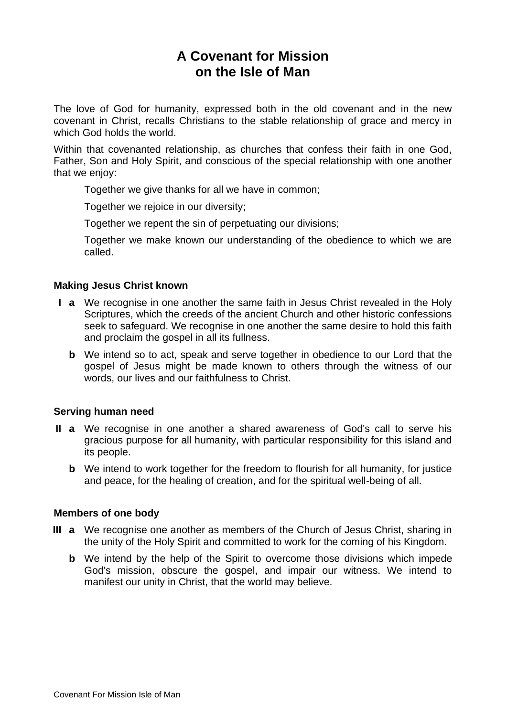# **A Covenant for Mission on the Isle of Man**

The love of God for humanity, expressed both in the old covenant and in the new covenant in Christ, recalls Christians to the stable relationship of grace and mercy in which God holds the world.

Within that covenanted relationship, as churches that confess their faith in one God, Father, Son and Holy Spirit, and conscious of the special relationship with one another that we enjoy:

Together we give thanks for all we have in common;

Together we rejoice in our diversity;

Together we repent the sin of perpetuating our divisions;

Together we make known our understanding of the obedience to which we are called.

### **Making Jesus Christ known**

- **I a** We recognise in one another the same faith in Jesus Christ revealed in the Holy Scriptures, which the creeds of the ancient Church and other historic confessions seek to safeguard. We recognise in one another the same desire to hold this faith and proclaim the gospel in all its fullness.
	- **b** We intend so to act, speak and serve together in obedience to our Lord that the gospel of Jesus might be made known to others through the witness of our words, our lives and our faithfulness to Christ.

### **Serving human need**

- **II a** We recognise in one another a shared awareness of God's call to serve his gracious purpose for all humanity, with particular responsibility for this island and its people.
	- **b** We intend to work together for the freedom to flourish for all humanity, for justice and peace, for the healing of creation, and for the spiritual well-being of all.

## **Members of one body**

- **III a** We recognise one another as members of the Church of Jesus Christ, sharing in the unity of the Holy Spirit and committed to work for the coming of his Kingdom.
	- **b** We intend by the help of the Spirit to overcome those divisions which impede God's mission, obscure the gospel, and impair our witness. We intend to manifest our unity in Christ, that the world may believe.